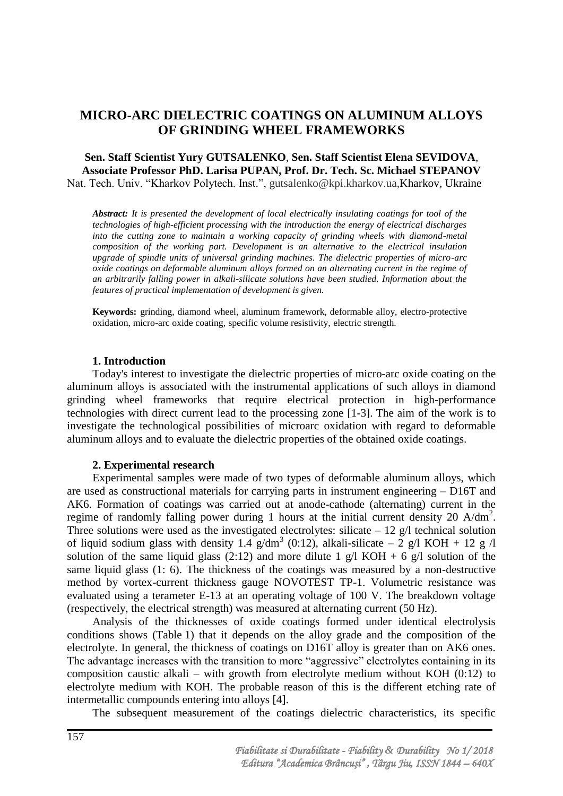# **MICRO-ARC DIELECTRIC COATINGS ON ALUMINUM ALLOYS OF GRINDING WHEEL FRAMEWORKS**

## **Sen. Staff Scientist Yury GUTSALENKO**, **Sen. Staff Scientist Elena SEVIDOVA**, **Associate Professor PhD. Larisa PUPAN, Prof. Dr. Tech. Sc. Michael STEPANOV** Nat. Tech. Univ. "Kharkov Polytech. Inst.", [gutsalenko@kpi.kharkov.ua,](mailto:gutsalenko@kpi.kharkov.ua)Kharkov, Ukraine

*Abstract: It is presented the development of local electrically insulating coatings for tool of the technologies of high-efficient processing with the introduction the energy of electrical discharges*  into the cutting zone to maintain a working capacity of grinding wheels with diamond-metal *composition of the working part. Development is an alternative to the electrical insulation upgrade of spindle units of universal grinding machines. The dielectric properties of micro-arc oxide coatings on deformable aluminum alloys formed on an alternating current in the regime of an arbitrarily falling power in alkali-silicate solutions have been studied. Information about the features of practical implementation of development is given.*

**Keywords:** grinding, diamond wheel, aluminum framework, deformable alloy, electro-protective oxidation, micro-arc oxide coating, specific volume resistivity, electric strength.

#### **1. Introduction**

Today's interest to investigate the dielectric properties of micro-arc oxide coating on the aluminum alloys is associated with the instrumental applications of such alloys in diamond grinding wheel frameworks that require electrical protection in high-performance technologies with direct current lead to the processing zone [1-3]. The aim of the work is to investigate the technological possibilities of microarc oxidation with regard to deformable aluminum alloys and to evaluate the dielectric properties of the obtained oxide coatings.

## **2. Experimental research**

Experimental samples were made of two types of deformable aluminum alloys, which are used as constructional materials for carrying parts in instrument engineering – D16T and AK6. Formation of coatings was carried out at anode-cathode (alternating) current in the regime of randomly falling power during 1 hours at the initial current density 20  $A/dm^2$ . Three solutions were used as the investigated electrolytes: silicate  $-12$  g/l technical solution of liquid sodium glass with density 1.4  $g/dm^3$  (0:12), alkali-silicate – 2 g/l KOH + 12 g /l solution of the same liquid glass (2:12) and more dilute 1 g/l KOH + 6 g/l solution of the same liquid glass (1: 6). The thickness of the coatings was measured by a non-destructive method by vortex-current thickness gauge NOVOTEST TP-1. Volumetric resistance was evaluated using a terameter E-13 at an operating voltage of 100 V. The breakdown voltage (respectively, the electrical strength) was measured at alternating current (50 Hz).

Analysis of the thicknesses of oxide coatings formed under identical electrolysis conditions shows (Table 1) that it depends on the alloy grade and the composition of the electrolyte. In general, the thickness of coatings on D16T alloy is greater than on AK6 ones. The advantage increases with the transition to more "aggressive" electrolytes containing in its composition caustic alkali – with growth from electrolyte medium without KOH  $(0:12)$  to electrolyte medium with KOH. The probable reason of this is the different etching rate of intermetallic compounds entering into alloys [4].

The subsequent measurement of the coatings dielectric characteristics, its specific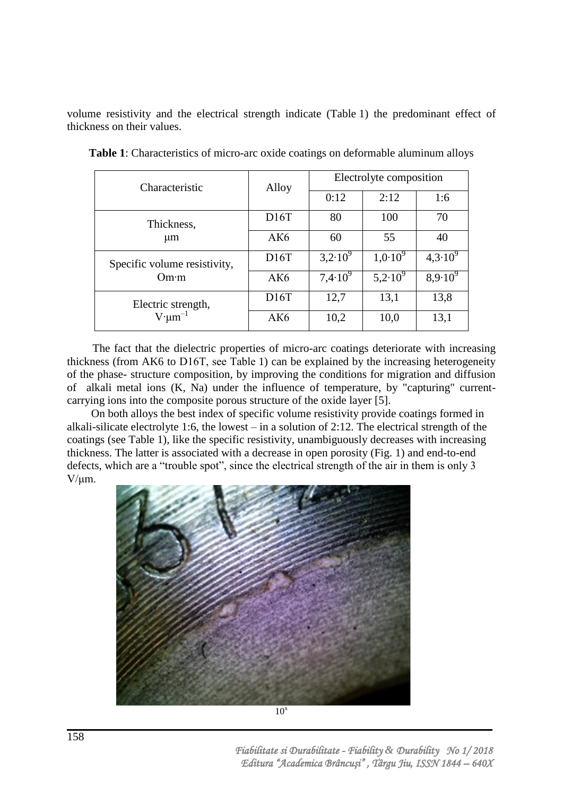volume resistivity and the electrical strength indicate (Table 1) the predominant effect of thickness on their values.

| Characteristic                             | Alloy | Electrolyte composition |              |                    |
|--------------------------------------------|-------|-------------------------|--------------|--------------------|
|                                            |       | 0:12                    | 2:12         | 1:6                |
| Thickness,<br>$\mu$ m                      | D16T  | 80                      | 100          | 70                 |
|                                            | AK6   | 60                      | 55           | 40                 |
| Specific volume resistivity,<br>Om·m       | D16T  | $3,2.10^{\overline{9}}$ | $1,0.10^{9}$ | $4,3.10^{9}$       |
|                                            | AK6   | $7,4.10^{9}$            | $5,2.10^9$   | $8.9 \cdot 10^{9}$ |
| Electric strength,<br>$V \cdot \mu m^{-1}$ | D16T  | 12,7                    | 13,1         | 13,8               |
|                                            | AK6   | 10,2                    | 10,0         | 13,1               |

**Table 1**: Characteristics of micro-arc oxide coatings on deformable aluminum alloys

The fact that the dielectric properties of micro-arc coatings deteriorate with increasing thickness (from AK6 to D16Т, see Table 1) can be explained by the increasing heterogeneity of the phase- structure composition, by improving the conditions for migration and diffusion of alkali metal ions (K, Na) under the influence of temperature, by "capturing" currentcarrying ions into the composite porous structure of the oxide layer [5].

On both alloys the best index of specific volume resistivity provide coatings formed in alkali-silicate electrolyte 1:6, the lowest – in a solution of 2:12. The electrical strength of the coatings (see Table 1), like the specific resistivity, unambiguously decreases with increasing thickness. The latter is associated with a decrease in open porosity (Fig. 1) and end-to-end defects, which are a "trouble spot", since the electrical strength of the air in them is only 3  $V/\mu m$ .

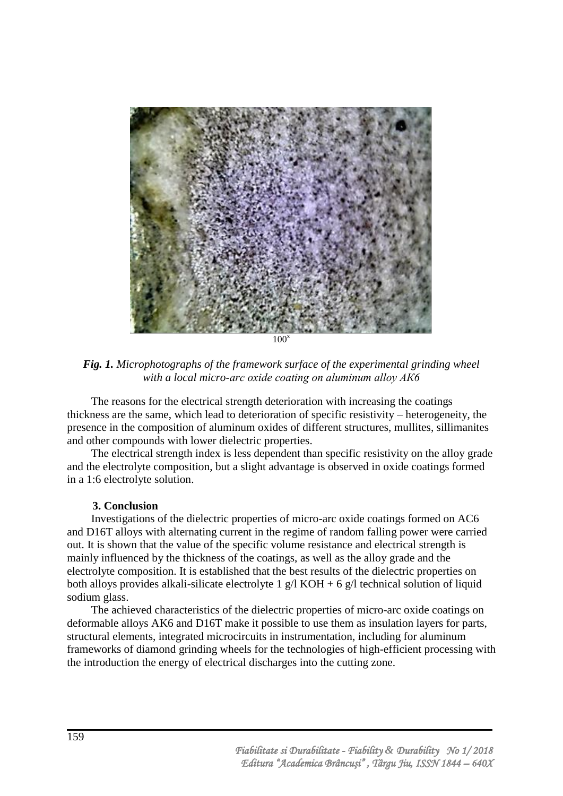

*Fig. 1. Microphotographs of the framework surface of the experimental grinding wheel with a local micro-arc oxide coating on aluminum alloy АК6*

The reasons for the electrical strength deterioration with increasing the coatings thickness are the same, which lead to deterioration of specific resistivity – heterogeneity, the presence in the composition of aluminum oxides of different structures, mullites, sillimanites and other compounds with lower dielectric properties.

The electrical strength index is less dependent than specific resistivity on the alloy grade and the electrolyte composition, but a slight advantage is observed in oxide coatings formed in a 1:6 electrolyte solution.

## **3. Conclusion**

Investigations of the dielectric properties of micro-arc oxide coatings formed on AC6 and D16T alloys with alternating current in the regime of random falling power were carried out. It is shown that the value of the specific volume resistance and electrical strength is mainly influenced by the thickness of the coatings, as well as the alloy grade and the electrolyte composition. It is established that the best results of the dielectric properties on both alloys provides alkali-silicate electrolyte 1 g/l KOH + 6 g/l technical solution of liquid sodium glass.

The achieved characteristics of the dielectric properties of micro-arc oxide coatings on deformable alloys AK6 and D16T make it possible to use them as insulation layers for parts, structural elements, integrated microcircuits in instrumentation, including for aluminum frameworks of diamond grinding wheels for the technologies of high-efficient processing with the introduction the energy of electrical discharges into the cutting zone.